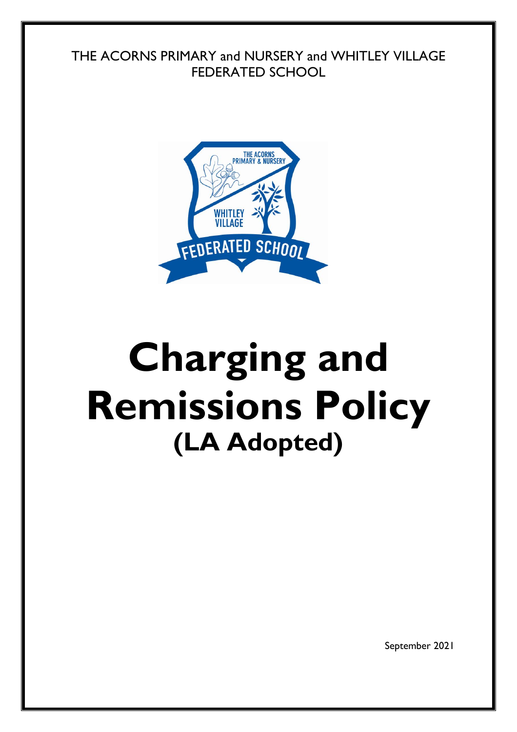THE ACORNS PRIMARY and NURSERY and WHITLEY VILLAGE FEDERATED SCHOOL



## **Charging and Remissions Policy (LA Adopted)**

September 2021